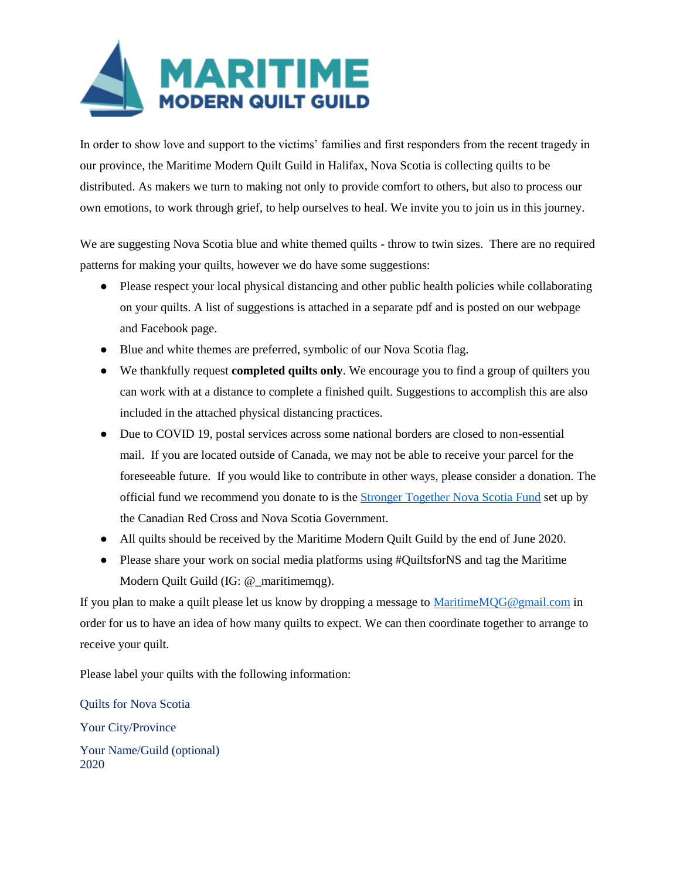

In order to show love and support to the victims' families and first responders from the recent tragedy in our province, the Maritime Modern Quilt Guild in Halifax, Nova Scotia is collecting quilts to be distributed. As makers we turn to making not only to provide comfort to others, but also to process our own emotions, to work through grief, to help ourselves to heal. We invite you to join us in this journey.

We are suggesting Nova Scotia blue and white themed quilts - throw to twin sizes. There are no required patterns for making your quilts, however we do have some suggestions:

- Please respect your local physical distancing and other public health policies while collaborating on your quilts. A list of suggestions is attached in a separate pdf and is posted on our webpage and Facebook page.
- Blue and white themes are preferred, symbolic of our Nova Scotia flag.
- We thankfully request **completed quilts only**. We encourage you to find a group of quilters you can work with at a distance to complete a finished quilt. Suggestions to accomplish this are also included in the attached physical distancing practices.
- Due to COVID 19, postal services across some national borders are closed to non-essential mail. If you are located outside of Canada, we may not be able to receive your parcel for the foreseeable future. If you would like to contribute in other ways, please consider a donation. The official fund we recommend you donate to is the [Stronger Together Nova Scotia Fund](https://donate.redcross.ca/page/59671/donate/1?locale=en-CA) set up by the Canadian Red Cross and Nova Scotia Government.
- All quilts should be received by the Maritime Modern Quilt Guild by the end of June 2020.
- Please share your work on social media platforms using #QuiltsforNS and tag the Maritime Modern Quilt Guild (IG: @\_maritimemqg).

If you plan to make a quilt please let us know by dropping a message to [MaritimeMQG@gmail.com](mailto:MaritimeMQG@gmail.com) in order for us to have an idea of how many quilts to expect. We can then coordinate together to arrange to receive your quilt.

Please label your quilts with the following information:

Quilts for Nova Scotia

Your City/Province

Your Name/Guild (optional) 2020